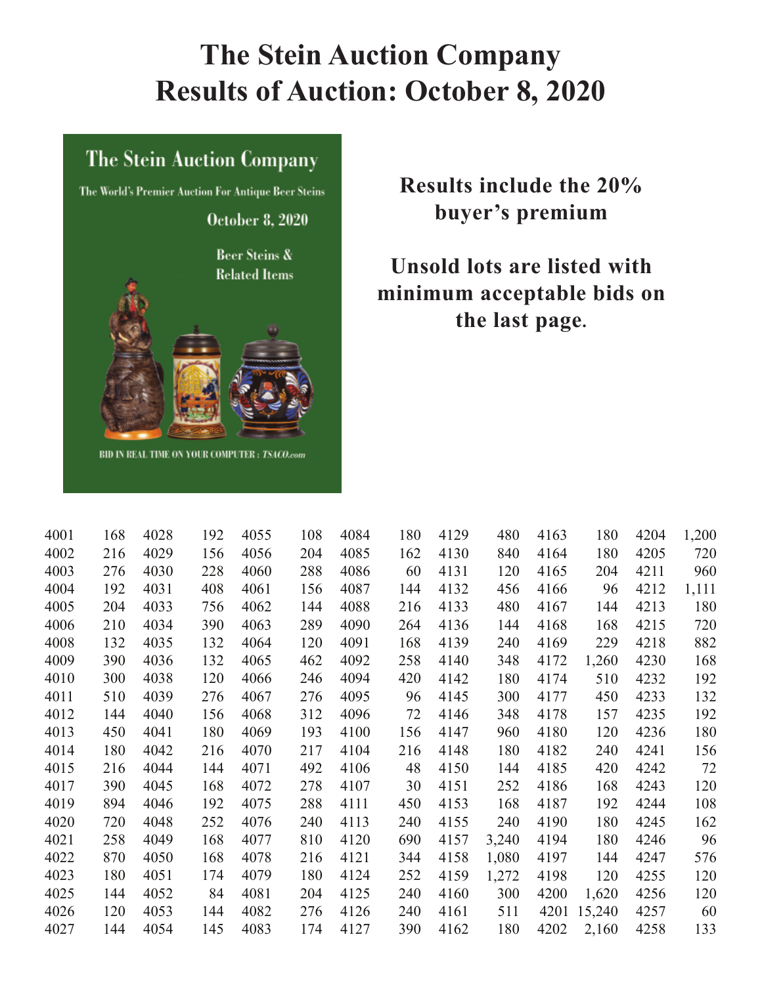# **The Stein Auction Company Results of Auction: October 8, 2020**

#### The Stein Auction Company

The World's Premier Auction For Antique Beer Steins

**October 8, 2020** 

**Beer Steins & Related Items** 



BID IN REAL TIME ON YOUR COMPUTER: TSACO.com

### **Results include the 20% buyer's premium**

### **Unsold lots are listed with minimum acceptable bids on the last page.**

| 4001 | 168 | 4028 | 192 | 4055 | 108 | 4084 | 180 | 4129 | 480   | 4163 | 180    | 4204 | 1,200 |
|------|-----|------|-----|------|-----|------|-----|------|-------|------|--------|------|-------|
| 4002 | 216 | 4029 | 156 | 4056 | 204 | 4085 | 162 | 4130 | 840   | 4164 | 180    | 4205 | 720   |
| 4003 | 276 | 4030 | 228 | 4060 | 288 | 4086 | 60  | 4131 | 120   | 4165 | 204    | 4211 | 960   |
| 4004 | 192 | 4031 | 408 | 4061 | 156 | 4087 | 144 | 4132 | 456   | 4166 | 96     | 4212 | 1,111 |
| 4005 | 204 | 4033 | 756 | 4062 | 144 | 4088 | 216 | 4133 | 480   | 4167 | 144    | 4213 | 180   |
| 4006 | 210 | 4034 | 390 | 4063 | 289 | 4090 | 264 | 4136 | 144   | 4168 | 168    | 4215 | 720   |
| 4008 | 132 | 4035 | 132 | 4064 | 120 | 4091 | 168 | 4139 | 240   | 4169 | 229    | 4218 | 882   |
| 4009 | 390 | 4036 | 132 | 4065 | 462 | 4092 | 258 | 4140 | 348   | 4172 | 1,260  | 4230 | 168   |
| 4010 | 300 | 4038 | 120 | 4066 | 246 | 4094 | 420 | 4142 | 180   | 4174 | 510    | 4232 | 192   |
| 4011 | 510 | 4039 | 276 | 4067 | 276 | 4095 | 96  | 4145 | 300   | 4177 | 450    | 4233 | 132   |
| 4012 | 144 | 4040 | 156 | 4068 | 312 | 4096 | 72  | 4146 | 348   | 4178 | 157    | 4235 | 192   |
| 4013 | 450 | 4041 | 180 | 4069 | 193 | 4100 | 156 | 4147 | 960   | 4180 | 120    | 4236 | 180   |
| 4014 | 180 | 4042 | 216 | 4070 | 217 | 4104 | 216 | 4148 | 180   | 4182 | 240    | 4241 | 156   |
| 4015 | 216 | 4044 | 144 | 4071 | 492 | 4106 | 48  | 4150 | 144   | 4185 | 420    | 4242 | 72    |
| 4017 | 390 | 4045 | 168 | 4072 | 278 | 4107 | 30  | 4151 | 252   | 4186 | 168    | 4243 | 120   |
| 4019 | 894 | 4046 | 192 | 4075 | 288 | 4111 | 450 | 4153 | 168   | 4187 | 192    | 4244 | 108   |
| 4020 | 720 | 4048 | 252 | 4076 | 240 | 4113 | 240 | 4155 | 240   | 4190 | 180    | 4245 | 162   |
| 4021 | 258 | 4049 | 168 | 4077 | 810 | 4120 | 690 | 4157 | 3,240 | 4194 | 180    | 4246 | 96    |
| 4022 | 870 | 4050 | 168 | 4078 | 216 | 4121 | 344 | 4158 | 1,080 | 4197 | 144    | 4247 | 576   |
| 4023 | 180 | 4051 | 174 | 4079 | 180 | 4124 | 252 | 4159 | 1,272 | 4198 | 120    | 4255 | 120   |
| 4025 | 144 | 4052 | 84  | 4081 | 204 | 4125 | 240 | 4160 | 300   | 4200 | 1,620  | 4256 | 120   |
| 4026 | 120 | 4053 | 144 | 4082 | 276 | 4126 | 240 | 4161 | 511   | 4201 | 15,240 | 4257 | 60    |
| 4027 | 144 | 4054 | 145 | 4083 | 174 | 4127 | 390 | 4162 | 180   | 4202 | 2,160  | 4258 | 133   |
|      |     |      |     |      |     |      |     |      |       |      |        |      |       |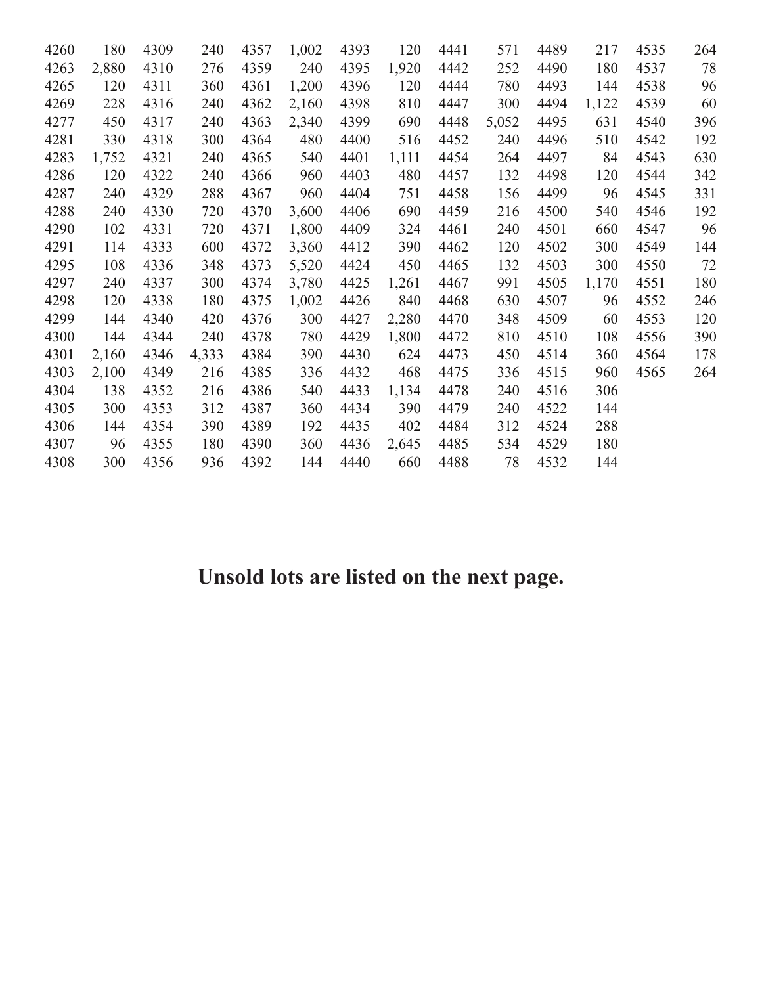| 4260 | 180   | 4309 | 240   | 4357 | 1,002 | 4393 | 120   | 4441 | 571   | 4489 | 217   | 4535 | 264    |
|------|-------|------|-------|------|-------|------|-------|------|-------|------|-------|------|--------|
| 4263 | 2,880 | 4310 | 276   | 4359 | 240   | 4395 | 1,920 | 4442 | 252   | 4490 | 180   | 4537 | 78     |
| 4265 | 120   | 4311 | 360   | 4361 | 1,200 | 4396 | 120   | 4444 | 780   | 4493 | 144   | 4538 | 96     |
| 4269 | 228   | 4316 | 240   | 4362 | 2,160 | 4398 | 810   | 4447 | 300   | 4494 | 1,122 | 4539 | 60     |
| 4277 | 450   | 4317 | 240   | 4363 | 2,340 | 4399 | 690   | 4448 | 5,052 | 4495 | 631   | 4540 | 396    |
| 4281 | 330   | 4318 | 300   | 4364 | 480   | 4400 | 516   | 4452 | 240   | 4496 | 510   | 4542 | 192    |
| 4283 | 1,752 | 4321 | 240   | 4365 | 540   | 4401 | 1,111 | 4454 | 264   | 4497 | 84    | 4543 | 630    |
| 4286 | 120   | 4322 | 240   | 4366 | 960   | 4403 | 480   | 4457 | 132   | 4498 | 120   | 4544 | 342    |
| 4287 | 240   | 4329 | 288   | 4367 | 960   | 4404 | 751   | 4458 | 156   | 4499 | 96    | 4545 | 331    |
| 4288 | 240   | 4330 | 720   | 4370 | 3,600 | 4406 | 690   | 4459 | 216   | 4500 | 540   | 4546 | 192    |
| 4290 | 102   | 4331 | 720   | 4371 | 1,800 | 4409 | 324   | 4461 | 240   | 4501 | 660   | 4547 | 96     |
| 4291 | 114   | 4333 | 600   | 4372 | 3,360 | 4412 | 390   | 4462 | 120   | 4502 | 300   | 4549 | 144    |
| 4295 | 108   | 4336 | 348   | 4373 | 5,520 | 4424 | 450   | 4465 | 132   | 4503 | 300   | 4550 | $72\,$ |
| 4297 | 240   | 4337 | 300   | 4374 | 3,780 | 4425 | 1,261 | 4467 | 991   | 4505 | 1,170 | 4551 | 180    |
| 4298 | 120   | 4338 | 180   | 4375 | 1,002 | 4426 | 840   | 4468 | 630   | 4507 | 96    | 4552 | 246    |
| 4299 | 144   | 4340 | 420   | 4376 | 300   | 4427 | 2,280 | 4470 | 348   | 4509 | 60    | 4553 | 120    |
| 4300 | 144   | 4344 | 240   | 4378 | 780   | 4429 | 1,800 | 4472 | 810   | 4510 | 108   | 4556 | 390    |
| 4301 | 2,160 | 4346 | 4,333 | 4384 | 390   | 4430 | 624   | 4473 | 450   | 4514 | 360   | 4564 | 178    |
| 4303 | 2,100 | 4349 | 216   | 4385 | 336   | 4432 | 468   | 4475 | 336   | 4515 | 960   | 4565 | 264    |
| 4304 | 138   | 4352 | 216   | 4386 | 540   | 4433 | 1,134 | 4478 | 240   | 4516 | 306   |      |        |
| 4305 | 300   | 4353 | 312   | 4387 | 360   | 4434 | 390   | 4479 | 240   | 4522 | 144   |      |        |
| 4306 | 144   | 4354 | 390   | 4389 | 192   | 4435 | 402   | 4484 | 312   | 4524 | 288   |      |        |
| 4307 | 96    | 4355 | 180   | 4390 | 360   | 4436 | 2,645 | 4485 | 534   | 4529 | 180   |      |        |
| 4308 | 300   | 4356 | 936   | 4392 | 144   | 4440 | 660   | 4488 | 78    | 4532 | 144   |      |        |
|      |       |      |       |      |       |      |       |      |       |      |       |      |        |

## **Unsold lots are listed on the next page.**